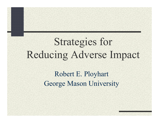# Strategies for Reducing Adverse Impact

Robert E. Ployhart George Mason University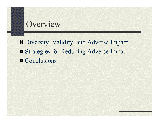### **Overview**

Diversity, Validity, and Adverse Impact  $\blacktriangleright$  **Strategies for Reducing Adverse Impact # Conclusions**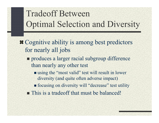## Tradeoff Between Optimal Selection and Diversity

**EXECOGNITY COGNITY COGNITY** is among best predictors for nearly all jobs

**produces a larger racial subgroup difference** than nearly any other test

■ using the "most valid" test will result in lower diversity (and quite often adverse impact)

**field field field is equivally will "decrease"** test utility

**This is a tradeoff that must be balanced!**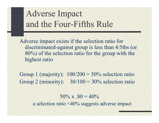### Adverse Impact and the Four-Fifths Rule

Adverse impact exists if the selection ratio for discriminated-against group is less than 4/5ths (or 80%) of the selection ratio for the group with the highest ratio

Group 1 (majority):  $100/200 = 50\%$  selection ratio Group 2 (minority):  $30/100 = 30\%$  selection ratio

> $50\% \times .80 = 40\%$ a selection ratio <40% suggests adverse impact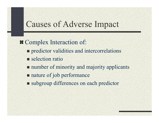### Causes of Adverse Impact

**# Complex Interaction of: Permitted Predictor validities and intercorrelations** selection ratio **number of minority and majority applicants** nature of job performance ■ subgroup differences on each predictor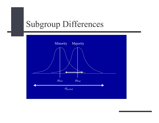### Subgroup Differences

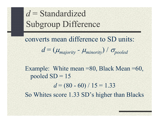## *d* = Standardized Subgroup Difference

converts mean difference to SD units:  $d = (\mu_{majority} - \mu_{minority}) / \sigma_{pooled}$ 

Example: White mean =80, Black Mean =60, pooled  $SD = 15$ *d* = (80 - 60) / 15 = 1.33 So Whites score 1.33 SD's higher than Blacks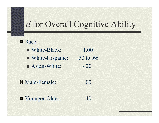### *d* for Overall Cognitive Ability

- **# Race:** White-Black: 1.00 ■ White-Hispanic: .50 to .66  $\blacksquare$  Asian-White:  $\blacksquare$
- Male-Female: .00
- Younger-Older: .40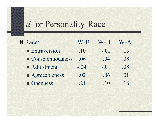### *d* for Personality-Race

| <b>¤ Race:</b>                   | $W-B$  | W-H    | V-A |
|----------------------------------|--------|--------|-----|
| <b>Extraversion</b>              | .10    | $-.01$ | .15 |
| $\blacksquare$ Conscientiousness | .06    | .04    | .08 |
| Adjustment                       | $-.04$ | $-.01$ | .08 |
| Agreeableness                    | .02    | .06    | .01 |
| Openness                         | .21    | .10    | .18 |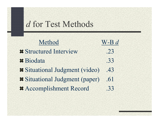### *d* for Test Methods

| Method                              | $W-B d$ |
|-------------------------------------|---------|
| <b>Exercitured Interview</b>        | .23     |
| Biodata                             | .33     |
| Situational Judgment (video)        | .43     |
| <b>Situational Judgment (paper)</b> | .61     |
| # Accomplishment Record             | .33     |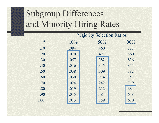## Subgroup Differences and Minority Hiring Rates

| <b>Majority Selection Ratios</b> |      |      |      |
|----------------------------------|------|------|------|
| $\underline{d}$                  | 10%  | 50%  | 90%  |
| .10                              | .084 | .460 | .881 |
| .20                              | .070 | .421 | .860 |
| .30                              | .057 | .382 | .836 |
| .40                              | .046 | .345 | .811 |
| .50                              | .038 | .309 | .782 |
| .60                              | .030 | .274 | .752 |
| .70                              | .024 | .242 | .719 |
| .80                              | .019 | .212 | .684 |
| .90                              | .015 | .184 | .648 |
| 1.00                             | .013 | .159 | .610 |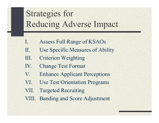## Strategies for Reducing Adverse Impact

- I. Assess Full Range of KSAOs
- II. Use Specific Measures of Ability
- III. Criterion Weighting
- IV. Change Test Format
- V. Enhance Applicant Perceptions
- VI. Use Test Orientation Programs
- VII. Targeted Recruiting
- VIII. Banding and Score Adjustment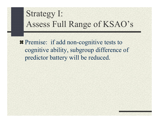### Strategy I: Assess Full Range of KSAO's

**F** Premise: if add non-cognitive tests to cognitive ability, subgroup difference of predictor battery will be reduced.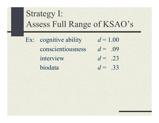### Strategy I: Assess Full Range of KSAO's

Ex: cognitive ability  $d = 1.00$ conscientiousness *d* $d = 0.09$ *interview*  $d = .23$ biodata *d* $d = .33$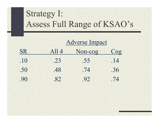### Strategy I: Assess Full Range of KSAO's

|           |       | Adverse Impact |        |  |
|-----------|-------|----------------|--------|--|
| <b>SR</b> | All 4 | Non-cog        | $\cos$ |  |
| .10       | .23   | .55            | .14    |  |
| .50       | .48   | .74            | .36    |  |
| .90       | .82   | .92            | .74    |  |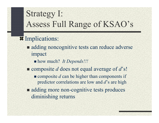### Strategy I: Assess Full Range of KSAO's

#### **II** Implications:

- adding noncognitive tests can reduce adverse impact
	- how much? *It Depends!!!*
- composite *d* does not equal average of *d*'s!
	- $\blacksquare$  composite *d* can be higher than components if predictor correlations are low and *d*'s are high
- adding more non-cognitive tests produces diminishing returns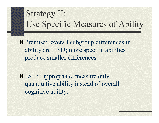### Strategy II: Use Specific Measures of Ability

**F** Premise: overall subgroup differences in ability are 1 SD; more specific abilities produce smaller differences.

**Ex:** if appropriate, measure only quantitative ability instead of overall cognitive ability.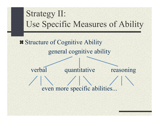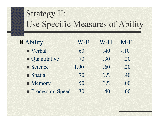## Strategy II: Use Specific Measures of Ability

| # Ability:              | W-B  | W-H | M-F    |
|-------------------------|------|-----|--------|
| Verbal                  | .60  | .40 | $-.10$ |
| Quantitative            | .70  | .30 | .20    |
| Science                 | 1.00 | .60 | .20    |
| Spatial                 | .70  | ??? | .40    |
| • Memory                | .50  | ??? | .00    |
| <b>Processing Speed</b> | .30  | .40 | .00    |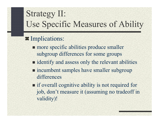## Strategy II: Use Specific Measures of Ability

#### **Implications:**

- **n** more specific abilities produce smaller subgroup differences for some groups
- identify and assess only the relevant abilities
- **n** incumbent samples have smaller subgroup differences
- **i** if overall cognitive ability is not required for job, don't measure it (assuming no tradeoff in validity)!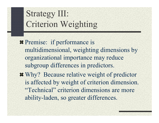## Strategy III: Criterion Weighting

**# Premise: if performance is** multidimensional, weighting dimensions by organizational importance may reduce subgroup differences in predictors.

Why? Because relative weight of predictor is affected by weight of criterion dimension. "Technical" criterion dimensions are more ability-laden, so greater differences.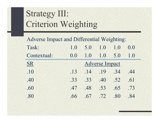## Strategy III: Criterion Weighting

| <b>Adverse Impact and Differential Weighting:</b> |     |             |                       |                 |     |
|---------------------------------------------------|-----|-------------|-----------------------|-----------------|-----|
| Task:                                             | 1.0 | 5.0         | 1.0                   | 1.0             | 0.0 |
| Contextual:                                       | 0.0 | 1.0         | 1.0                   | 5.0             | 1.0 |
| <b>SR</b>                                         |     |             | <b>Adverse Impact</b> |                 |     |
| .10                                               | .13 | $.14$ $.19$ |                       | $\overline{34}$ | .44 |
| .40                                               | .33 | .33         | .40                   | .52             | .61 |
| .60                                               | .47 | .48         | .53                   | .65             | .73 |
| .80                                               | .66 | .67         | .72                   | .80             | 84  |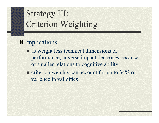## Strategy III: Criterion Weighting

#### **<u>¤Implications:</u>**

- as weight less technical dimensions of performance, adverse impact decreases because of smaller relations to cognitive ability
- $\blacksquare$  criterion weights can account for up to 34% of variance in validities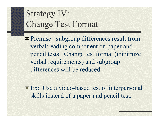**# Premise: subgroup differences result from** verbal/reading component on paper and pencil tests. Change test format (minimize verbal requirements) and subgroup differences will be reduced.

**Ex:** Use a video-based test of interpersonal skills instead of a paper and pencil test.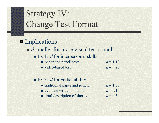#### **Implications:**

*d* smaller for more visual test stimuli:

- **Ex** 1: *d* for interpersonal skills
	- **paper and pencil test:**  $d = 1.19$
	- video-based test:  $d = 0.28$

#### **Ex 2:** *d* for verbal ability

- **u** traditional paper and pencil:
- **evaluate written material:**
- **draft description of short video:**
- $d = 1.03$ *d* = .91
- $d = .45$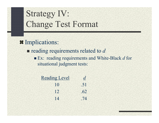**Implications:** 

**reading requirements related to d** 

■ Ex: reading requirements and White-Black *d* for situational judgment tests:

| <b>Reading Level</b> | $\overline{d}$ |
|----------------------|----------------|
| 10                   | .51            |
| 12                   | .62            |
| 14                   | .74            |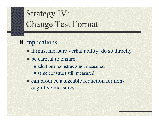- **Implications:** 
	- **If must measure verbal ability, do so directly**
	- **be careful to ensure:** 
		- additional constructs not measured
		- **same construct still measured**
	- can produce a sizeable reduction for noncognitive measures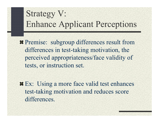**F** Premise: subgroup differences result from differences in test-taking motivation, the perceived appropriateness/face validity of tests, or instruction set.

**Ex:** Using a more face valid test enhances test-taking motivation and reduces score differences.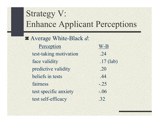#### Average White-Black *d*:

| Perception             | W-B         |
|------------------------|-------------|
| test-taking motivation | .24         |
| face validity          | $.17$ (lab) |
| predictive validity    | .20         |
| beliefs in tests       | .44         |
| fairness               | $-.25$      |
| test specific anxiety  | $-.06$      |
| test self-efficacy     | .32         |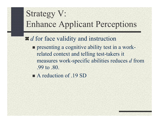#### *d* for face validity and instruction

- **Performance 1 assets that I amove 1** presenting a cognitive ability test in a workrelated context and telling test-takers it measures work-specific abilities reduces *d* from .99 to .80.
- A reduction of .19 SD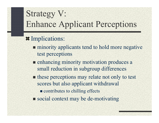#### **Implications:**

- **minority applicants tend to hold more negative** test perceptions
- **Example 12 India** enhancing minority motivation produces a small reduction in subgroup differences
- these perceptions may relate not only to test scores but also applicant withdrawal
	- $\blacksquare$  contributes to chilling effects
- social context may be de-motivating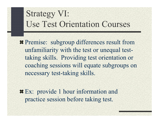### Strategy VI: Use Test Orientation Courses

**F** Premise: subgroup differences result from unfamiliarity with the test or unequal testtaking skills. Providing test orientation or coaching sessions will equate subgroups on necessary test-taking skills.

**# Ex:** provide 1 hour information and practice session before taking test.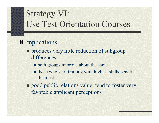### Strategy VI: Use Test Orientation Courses

- **II** Implications:
	- **produces very little reduction of subgroup** differences
		- **both groups improve about the same**
		- **If** those who start training with highest skills benefit the most
	- **good public relations value; tend to foster very** favorable applicant perceptions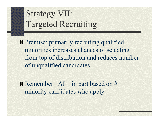## Strategy VII: Targeted Recruiting

**Example 21 Figure 11 Ferrorise:** primarily recruiting qualified minorities increases chances of selecting from top of distribution and reduces number of unqualified candidates.

**Examplement:** AI = in part based on # minority candidates who apply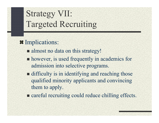## Strategy VII: Targeted Recruiting

#### **Implications:**

- almost no data on this strategy!
- **however, is used frequently in academics for** admission into selective programs.
- **difficulty is in identifying and reaching those** qualified minority applicants and convincing them to apply.
- **Example 2** careful recruiting could reduce chilling effects.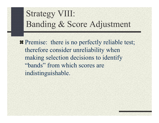### Strategy VIII: Banding & Score Adjustment

**#** Premise: there is no perfectly reliable test; therefore consider unreliability when making selection decisions to identify "bands" from which scores are indistinguishable.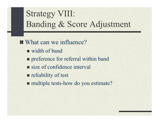## Strategy VIII: Banding & Score Adjustment

 $\sharp$  What can we influence? ■ width of band **Permies Form Preferral within band** size of confidence interval **reliability of test** ■ multiple tests-how do you estimate?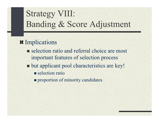## Strategy VIII: Banding & Score Adjustment

#### $\textbf{\textcolor{red}{\textbf{H}}}$  Implications

- selection ratio and referral choice are most important features of selection process
- **Dut applicant pool characteristics are key!** 
	- selection ratio
	- **Peroportion of minority candidates**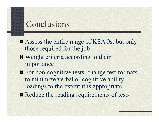### Conclusions

 $\blacktriangleright$  Assess the entire range of KSAOs, but only those required for the job

- $\blacksquare$  Weight criteria according to their importance
- **For non-cognitive tests, change test formats** to minimize verbal or cognitive ability loadings to the extent it is appropriate
- **# Reduce the reading requirements of tests**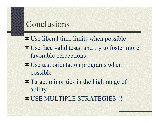### Conclusions

**# Use liberal time limits when possible** 

- $\bullet$  **Use face valid tests, and try to foster more** favorable perceptions
- $\bullet$  **Use test orientation programs when** possible
- **Target minorities in the high range of** ability
- **# USE MULTIPLE STRATEGIES!!!**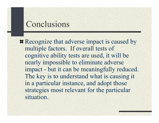### Conclusions

**Example 12** Recognize that adverse impact is caused by multiple factors. If overall tests of cognitive ability tests are used, it will be nearly impossible to eliminate adverse impact - but it can be meaningfully reduced. The key is to understand what is causing it in a particular instance, and adopt those strategies most relevant for the particular situation.